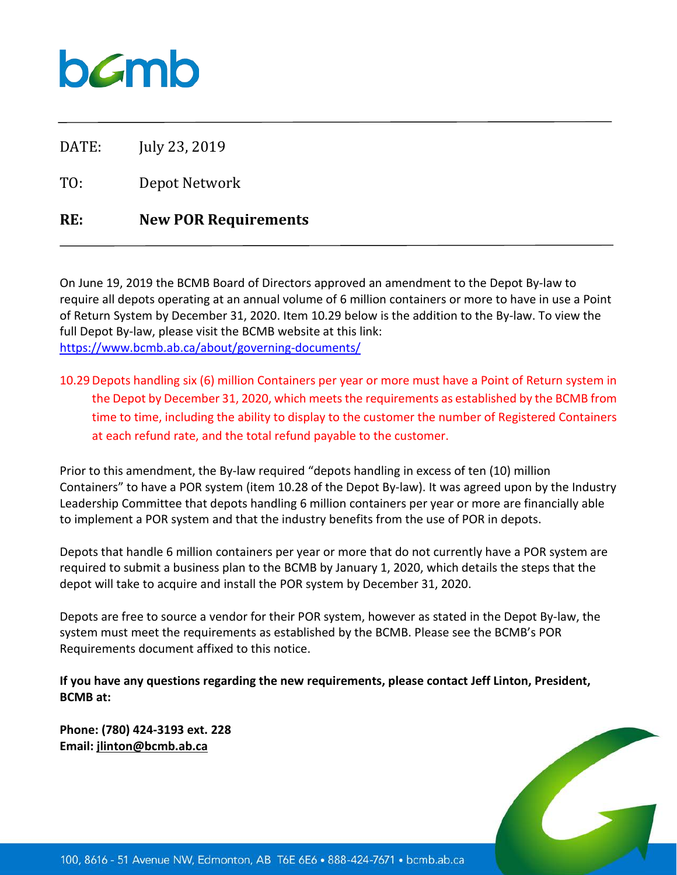# $b$ *C*mb

DATE: July 23, 2019

TO: Depot Network

### **RE: New POR Requirements**

On June 19, 2019 the BCMB Board of Directors approved an amendment to the Depot By-law to require all depots operating at an annual volume of 6 million containers or more to have in use a Point of Return System by December 31, 2020. Item 10.29 below is the addition to the By-law. To view the full Depot By-law, please visit the BCMB website at this link: <https://www.bcmb.ab.ca/about/governing-documents/>

10.29Depots handling six (6) million Containers per year or more must have a Point of Return system in the Depot by December 31, 2020, which meets the requirements as established by the BCMB from time to time, including the ability to display to the customer the number of Registered Containers at each refund rate, and the total refund payable to the customer.

Prior to this amendment, the By-law required "depots handling in excess of ten (10) million Containers" to have a POR system (item 10.28 of the Depot By-law). It was agreed upon by the Industry Leadership Committee that depots handling 6 million containers per year or more are financially able to implement a POR system and that the industry benefits from the use of POR in depots.

Depots that handle 6 million containers per year or more that do not currently have a POR system are required to submit a business plan to the BCMB by January 1, 2020, which details the steps that the depot will take to acquire and install the POR system by December 31, 2020.

Depots are free to source a vendor for their POR system, however as stated in the Depot By-law, the system must meet the requirements as established by the BCMB. Please see the BCMB's POR Requirements document affixed to this notice.

**If you have any questions regarding the new requirements, please contact Jeff Linton, President, BCMB at:**

**Phone: (780) 424-3193 ext. 228 Email: jlinton@bcmb.ab.ca**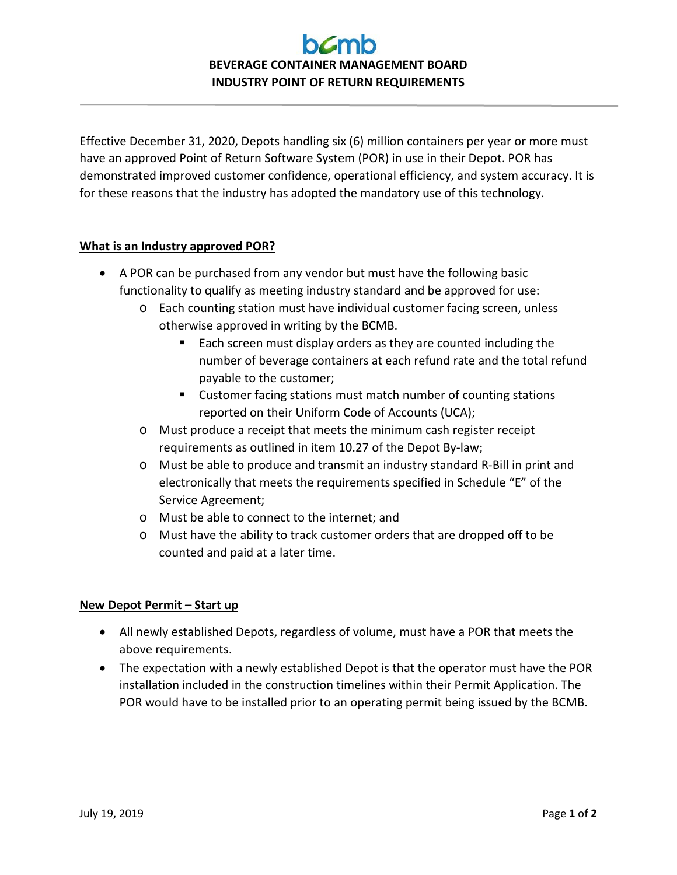## **BEVERAGE CONTAINER MANAGEMENT BOARD INDUSTRY POINT OF RETURN REQUIREMENTS**

Effective December 31, 2020, Depots handling six (6) million containers per year or more must have an approved Point of Return Software System (POR) in use in their Depot. POR has demonstrated improved customer confidence, operational efficiency, and system accuracy. It is for these reasons that the industry has adopted the mandatory use of this technology.

#### **What is an Industry approved POR?**

- A POR can be purchased from any vendor but must have the following basic functionality to qualify as meeting industry standard and be approved for use:
	- o Each counting station must have individual customer facing screen, unless otherwise approved in writing by the BCMB.
		- Each screen must display orders as they are counted including the number of beverage containers at each refund rate and the total refund payable to the customer;
		- **EXECUSTER** Customer facing stations must match number of counting stations reported on their Uniform Code of Accounts (UCA);
	- o Must produce a receipt that meets the minimum cash register receipt requirements as outlined in item 10.27 of the Depot By-law;
	- o Must be able to produce and transmit an industry standard R-Bill in print and electronically that meets the requirements specified in Schedule "E" of the Service Agreement;
	- o Must be able to connect to the internet; and
	- o Must have the ability to track customer orders that are dropped off to be counted and paid at a later time.

#### **New Depot Permit – Start up**

- All newly established Depots, regardless of volume, must have a POR that meets the above requirements.
- The expectation with a newly established Depot is that the operator must have the POR installation included in the construction timelines within their Permit Application. The POR would have to be installed prior to an operating permit being issued by the BCMB.